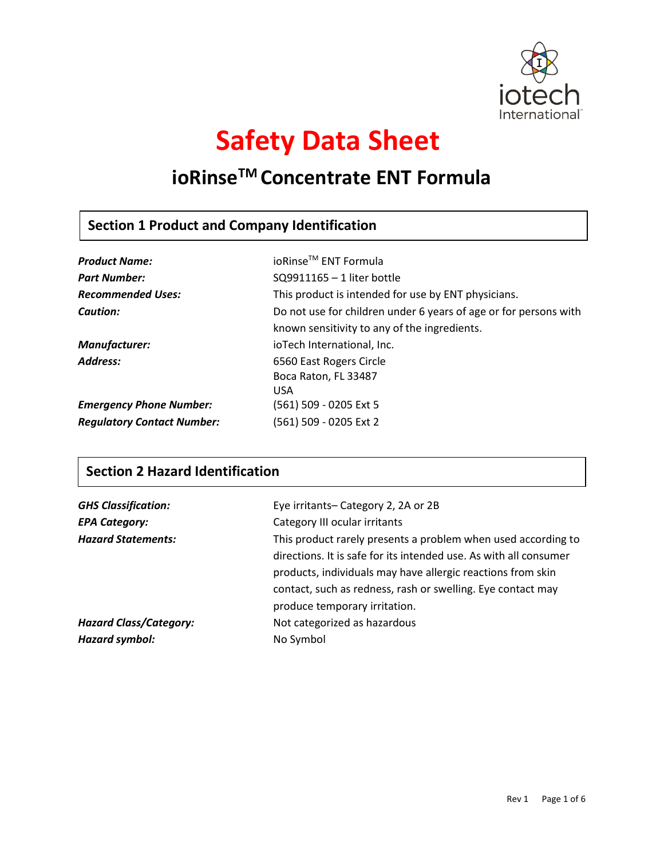

# **Safety Data Sheet**

## **ioRinseTM Concentrate ENT Formula**

## **Section 1 Product and Company Identification**

| <b>Product Name:</b>              | ioRinse <sup>™</sup> ENT Formula                                 |
|-----------------------------------|------------------------------------------------------------------|
| <b>Part Number:</b>               | SQ9911165 - 1 liter bottle                                       |
| <b>Recommended Uses:</b>          | This product is intended for use by ENT physicians.              |
| Caution:                          | Do not use for children under 6 years of age or for persons with |
|                                   | known sensitivity to any of the ingredients.                     |
| Manufacturer:                     | ioTech International, Inc.                                       |
| Address:                          | 6560 East Rogers Circle                                          |
|                                   | Boca Raton, FL 33487                                             |
|                                   | <b>USA</b>                                                       |
| <b>Emergency Phone Number:</b>    | (561) 509 - 0205 Ext 5                                           |
| <b>Regulatory Contact Number:</b> | (561) 509 - 0205 Ext 2                                           |

## **Section 2 Hazard Identification**

| <b>GHS Classification:</b>    | Eye irritants-Category 2, 2A or 2B                                |
|-------------------------------|-------------------------------------------------------------------|
| <b>EPA Category:</b>          | Category III ocular irritants                                     |
| <b>Hazard Statements:</b>     | This product rarely presents a problem when used according to     |
|                               | directions. It is safe for its intended use. As with all consumer |
|                               | products, individuals may have allergic reactions from skin       |
|                               | contact, such as redness, rash or swelling. Eye contact may       |
|                               | produce temporary irritation.                                     |
| <b>Hazard Class/Category:</b> | Not categorized as hazardous                                      |
| Hazard symbol:                | No Symbol                                                         |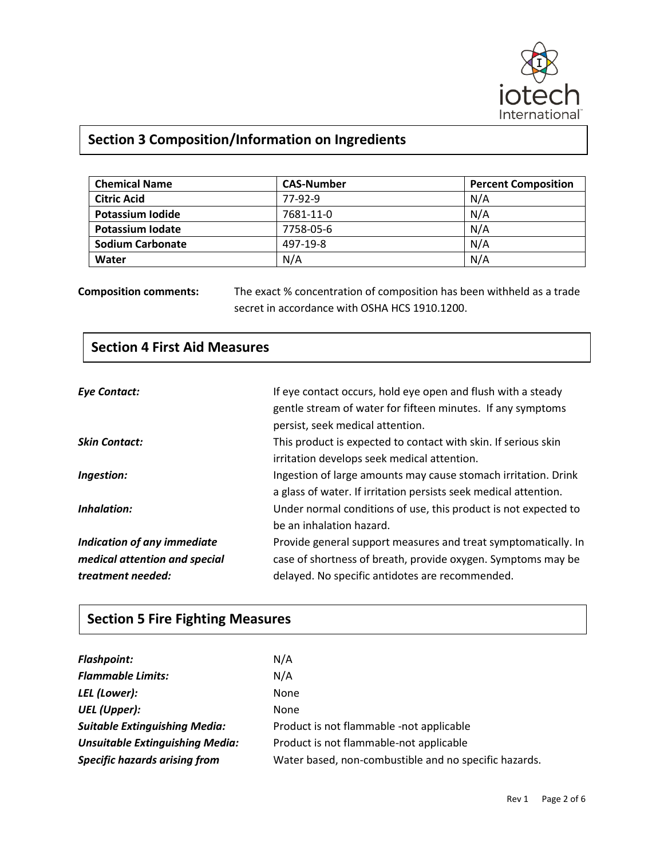

## **Section 3 Composition/Information on Ingredients**

| <b>Chemical Name</b>    | <b>CAS-Number</b> | <b>Percent Composition</b> |
|-------------------------|-------------------|----------------------------|
| <b>Citric Acid</b>      | 77-92-9           | N/A                        |
| <b>Potassium Iodide</b> | 7681-11-0         | N/A                        |
| Potassium Iodate        | 7758-05-6         | N/A                        |
| <b>Sodium Carbonate</b> | 497-19-8          | N/A                        |
| Water                   | N/A               | N/A                        |

**Composition comments:** The exact % concentration of composition has been withheld as a trade secret in accordance with OSHA HCS 1910.1200.

| <b>Section 4 First Aid Measures</b> |                                                                  |
|-------------------------------------|------------------------------------------------------------------|
|                                     |                                                                  |
| <b>Eye Contact:</b>                 | If eye contact occurs, hold eye open and flush with a steady     |
|                                     | gentle stream of water for fifteen minutes. If any symptoms      |
|                                     | persist, seek medical attention.                                 |
| <b>Skin Contact:</b>                | This product is expected to contact with skin. If serious skin   |
|                                     | irritation develops seek medical attention.                      |
| Ingestion:                          | Ingestion of large amounts may cause stomach irritation. Drink   |
|                                     | a glass of water. If irritation persists seek medical attention. |
| Inhalation:                         | Under normal conditions of use, this product is not expected to  |
|                                     | be an inhalation hazard.                                         |
| Indication of any immediate         | Provide general support measures and treat symptomatically. In   |
| medical attention and special       | case of shortness of breath, provide oxygen. Symptoms may be     |
| treatment needed:                   | delayed. No specific antidotes are recommended.                  |

## **Section 5 Fire Fighting Measures**

 $\Gamma$ 

| N/A                                                   |
|-------------------------------------------------------|
| N/A                                                   |
| None                                                  |
| <b>None</b>                                           |
| Product is not flammable -not applicable              |
| Product is not flammable-not applicable               |
| Water based, non-combustible and no specific hazards. |
|                                                       |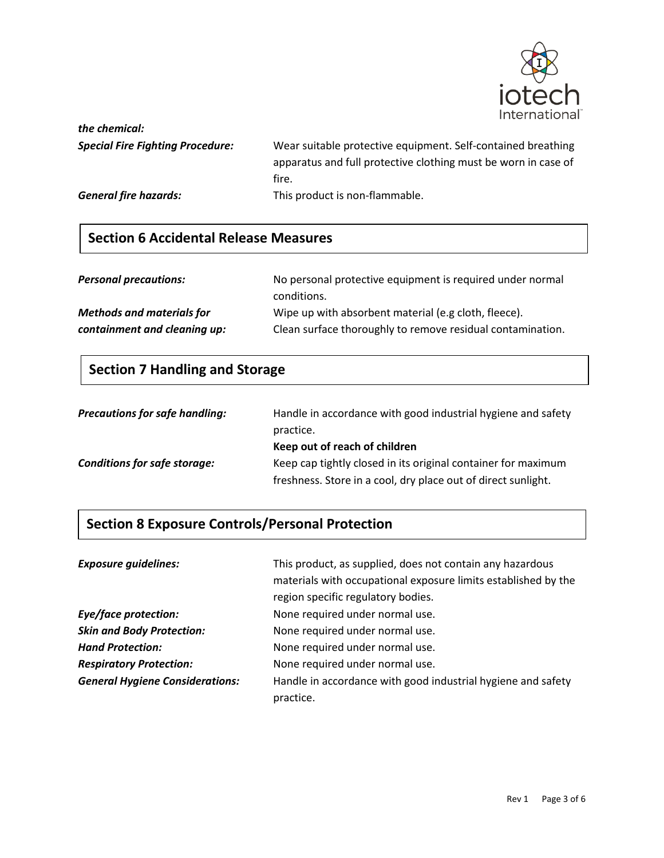

*the chemical:*

*Special Fire Fighting Procedure:* Wear suitable protective equipment. Self-contained breathing apparatus and full protective clothing must be worn in case of fire. *General fire hazards:* This product is non-flammable.

**Section 6 Accidental Release Measures**

| <b>Personal precautions:</b> | No personal protective equipment is required under normal |
|------------------------------|-----------------------------------------------------------|
|                              | conditions                                                |

conditions. *Methods and materials for* Wipe up with absorbent material (e.g cloth, fleece). *containment and cleaning up:* Clean surface thoroughly to remove residual contamination.

#### **Section 7 Handling and Storage**

| <b>Precautions for safe handling:</b> | Handle in accordance with good industrial hygiene and safety<br>practice. |
|---------------------------------------|---------------------------------------------------------------------------|
|                                       | Keep out of reach of children                                             |
| <b>Conditions for safe storage:</b>   | Keep cap tightly closed in its original container for maximum             |
|                                       | freshness. Store in a cool, dry place out of direct sunlight.             |

#### **Section 8 Exposure Controls/Personal Protection**

| <b>Exposure guidelines:</b>            | This product, as supplied, does not contain any hazardous<br>materials with occupational exposure limits established by the<br>region specific regulatory bodies. |
|----------------------------------------|-------------------------------------------------------------------------------------------------------------------------------------------------------------------|
| Eye/face protection:                   | None required under normal use.                                                                                                                                   |
| <b>Skin and Body Protection:</b>       | None required under normal use.                                                                                                                                   |
| <b>Hand Protection:</b>                | None required under normal use.                                                                                                                                   |
| <b>Respiratory Protection:</b>         | None required under normal use.                                                                                                                                   |
| <b>General Hygiene Considerations:</b> | Handle in accordance with good industrial hygiene and safety<br>practice.                                                                                         |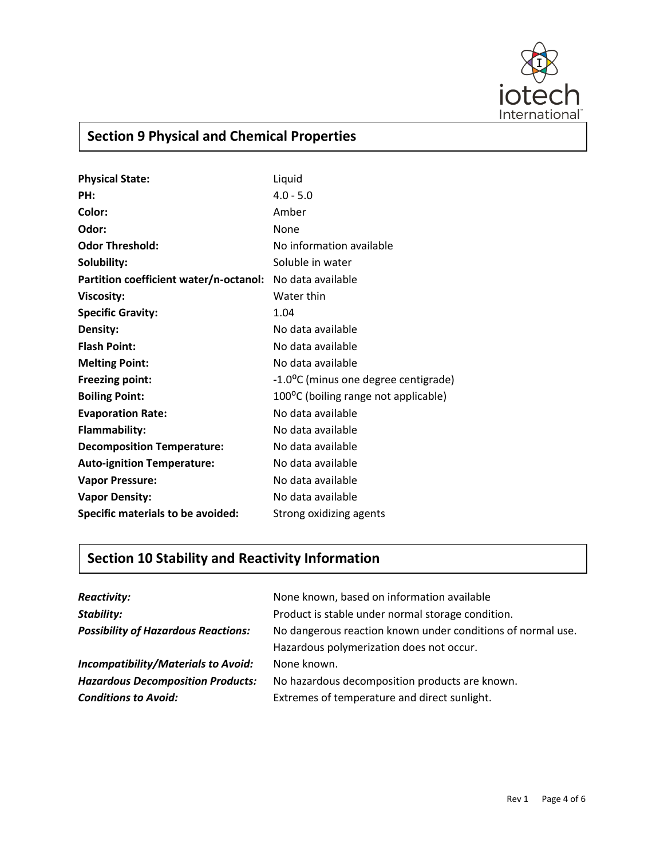

## **Section 9 Physical and Chemical Properties**

| <b>Physical State:</b>                 | Liquid                               |
|----------------------------------------|--------------------------------------|
| PH:                                    | $4.0 - 5.0$                          |
| Color:                                 | Amber                                |
| Odor:                                  | None                                 |
| <b>Odor Threshold:</b>                 | No information available             |
| Solubility:                            | Soluble in water                     |
| Partition coefficient water/n-octanol: | No data available                    |
| <b>Viscosity:</b>                      | Water thin                           |
| <b>Specific Gravity:</b>               | 1.04                                 |
| Density:                               | No data available                    |
| <b>Flash Point:</b>                    | No data available                    |
| <b>Melting Point:</b>                  | No data available                    |
| <b>Freezing point:</b>                 | -1.0°C (minus one degree centigrade) |
| <b>Boiling Point:</b>                  | 100°C (boiling range not applicable) |
| <b>Evaporation Rate:</b>               | No data available                    |
| <b>Flammability:</b>                   | No data available                    |
| <b>Decomposition Temperature:</b>      | No data available                    |
| <b>Auto-ignition Temperature:</b>      | No data available                    |
| <b>Vapor Pressure:</b>                 | No data available                    |
| <b>Vapor Density:</b>                  | No data available                    |
| Specific materials to be avoided:      | Strong oxidizing agents              |

## **Section 10 Stability and Reactivity Information**

| <b>Reactivity:</b>                         | None known, based on information available                  |
|--------------------------------------------|-------------------------------------------------------------|
| Stability:                                 | Product is stable under normal storage condition.           |
| <b>Possibility of Hazardous Reactions:</b> | No dangerous reaction known under conditions of normal use. |
|                                            | Hazardous polymerization does not occur.                    |
| <b>Incompatibility/Materials to Avoid:</b> | None known.                                                 |
| <b>Hazardous Decomposition Products:</b>   | No hazardous decomposition products are known.              |
| <b>Conditions to Avoid:</b>                | Extremes of temperature and direct sunlight.                |
|                                            |                                                             |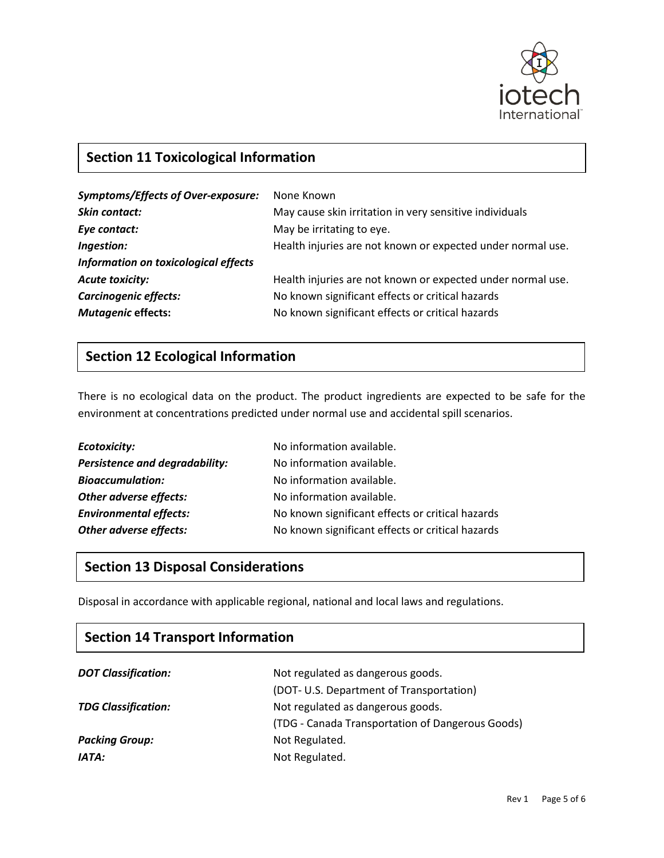

## **Section 11 Toxicological Information**

| <b>Symptoms/Effects of Over-exposure:</b> | None Known                                                  |
|-------------------------------------------|-------------------------------------------------------------|
| Skin contact:                             | May cause skin irritation in very sensitive individuals     |
| Eye contact:                              | May be irritating to eye.                                   |
| Ingestion:                                | Health injuries are not known or expected under normal use. |
| Information on toxicological effects      |                                                             |
| <b>Acute toxicity:</b>                    | Health injuries are not known or expected under normal use. |
| Carcinogenic effects:                     | No known significant effects or critical hazards            |
| <b>Mutagenic effects:</b>                 | No known significant effects or critical hazards            |

### **Section 12 Ecological Information**

There is no ecological data on the product. The product ingredients are expected to be safe for the environment at concentrations predicted under normal use and accidental spill scenarios.

| Ecotoxicity:                          | No information available.                        |
|---------------------------------------|--------------------------------------------------|
| <b>Persistence and degradability:</b> | No information available.                        |
| <b>Bioaccumulation:</b>               | No information available.                        |
| Other adverse effects:                | No information available.                        |
| <b>Environmental effects:</b>         | No known significant effects or critical hazards |
| Other adverse effects:                | No known significant effects or critical hazards |

#### **Section 13 Disposal Considerations**

Disposal in accordance with applicable regional, national and local laws and regulations.<br> **Section 5 Fighting** 

| <b>Section 14 Transport Information</b> |  |  |
|-----------------------------------------|--|--|
|                                         |  |  |
|                                         |  |  |
|                                         |  |  |
|                                         |  |  |
|                                         |  |  |
|                                         |  |  |
|                                         |  |  |

#### Rev 1 Page 5 of 6